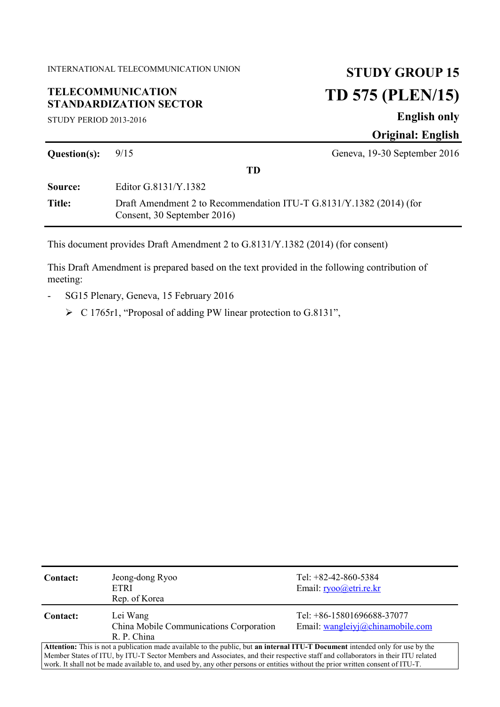### **TELECOMMUNICATION STANDARDIZATION SECTOR**

STUDY PERIOD 2013-2016

# **TD 575 (PLEN/15)**

**English only**

**Original: English**

| Question(s): | Geneva, 19-30 September 2016<br>9/15                                                               |  |
|--------------|----------------------------------------------------------------------------------------------------|--|
|              | TD                                                                                                 |  |
| Source:      | Editor G.8131/Y.1382                                                                               |  |
| Title:       | Draft Amendment 2 to Recommendation ITU-T G.8131/Y.1382 (2014) (for<br>Consent, 30 September 2016) |  |

This document provides Draft Amendment 2 to G.8131/Y.1382 (2014) (for consent)

This Draft Amendment is prepared based on the text provided in the following contribution of meeting:

- SG15 Plenary, Geneva, 15 February 2016
	- C 1765r1, "Proposal of adding PW linear protection to G.8131",

| <b>Contact:</b>                                                                                                                 | Jeong-dong Ryoo<br>ETRI<br>Rep. of Korea                           | Tel: $+82-42-860-5384$<br>Email: ryoo@etri.re.kr                 |  |
|---------------------------------------------------------------------------------------------------------------------------------|--------------------------------------------------------------------|------------------------------------------------------------------|--|
| Contact:                                                                                                                        | Lei Wang<br>China Mobile Communications Corporation<br>R. P. China | Tel: $+86-15801696688-37077$<br>Email: wangleiyj@chinamobile.com |  |
| Attention: This is not a publication made available to the public, but an internal ITU-T Document intended only for use by the  |                                                                    |                                                                  |  |
| Member States of ITU, by ITU-T Sector Members and Associates, and their respective staff and collaborators in their ITU related |                                                                    |                                                                  |  |
| work. It shall not be made available to, and used by, any other persons or entities without the prior written consent of ITU-T. |                                                                    |                                                                  |  |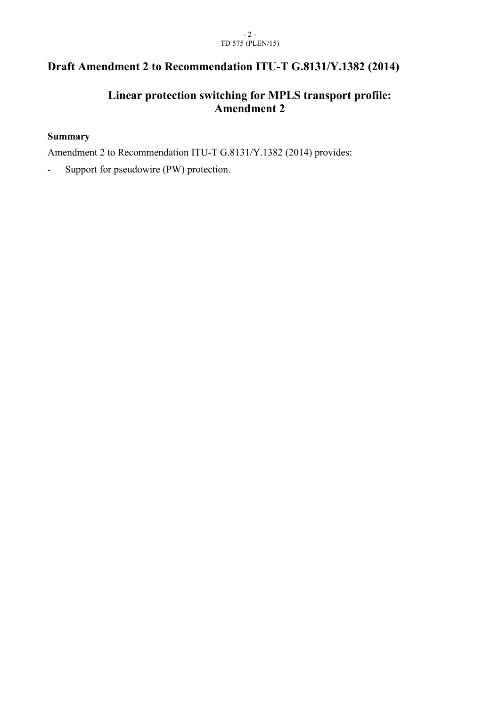#### $\sim 2$  -TD 575 (PLEN/15)

# **Draft Amendment 2 to Recommendation ITU-T G.8131/Y.1382 (2014)**

# **Linear protection switching for MPLS transport profile: Amendment 2**

#### **Summary**

Amendment 2 to Recommendation ITU-T G.8131/Y.1382 (2014) provides:

- Support for pseudowire (PW) protection.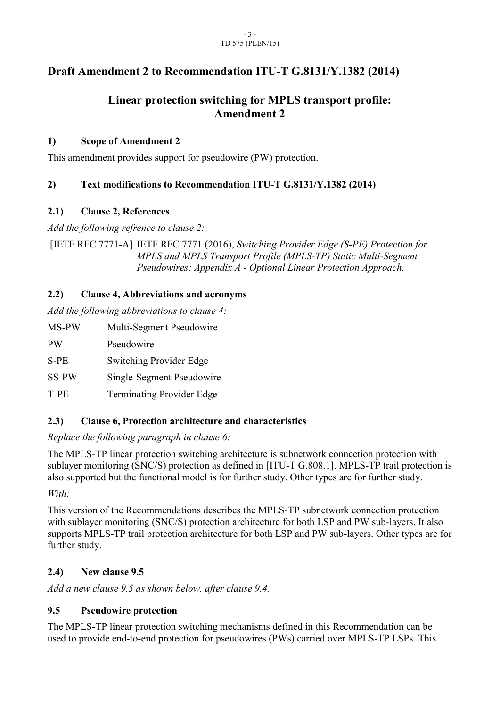#### - 3 - TD 575 (PLEN/15)

# **Draft Amendment 2 to Recommendation ITU-T G.8131/Y.1382 (2014)**

## **Linear protection switching for MPLS transport profile: Amendment 2**

#### **1) Scope of Amendment 2**

This amendment provides support for pseudowire (PW) protection.

#### **2) Text modifications to Recommendation ITU-T G.8131/Y.1382 (2014)**

#### **2.1) Clause 2, References**

*Add the following refrence to clause 2:*

[IETF RFC 7771-A] IETF RFC 7771 (2016), *Switching Provider Edge (S-PE) Protection for MPLS and MPLS Transport Profile (MPLS-TP) Static Multi-Segment Pseudowires; Appendix A - Optional Linear Protection Approach.*

#### **2.2) Clause 4, Abbreviations and acronyms**

*Add the following abbreviations to clause 4:*

| MS-PW        | Multi-Segment Pseudowire         |
|--------------|----------------------------------|
| <b>PW</b>    | Pseudowire                       |
| $S-PE$       | <b>Switching Provider Edge</b>   |
| <b>SS-PW</b> | Single-Segment Pseudowire        |
| T-PE         | <b>Terminating Provider Edge</b> |

#### **2.3) Clause 6, Protection architecture and characteristics**

#### *Replace the following paragraph in clause 6:*

The MPLS-TP linear protection switching architecture is subnetwork connection protection with sublayer monitoring (SNC/S) protection as defined in [ITU-T G.808.1]. MPLS-TP trail protection is also supported but the functional model is for further study. Other types are for further study.

*With:*

This version of the Recommendations describes the MPLS-TP subnetwork connection protection with sublayer monitoring (SNC/S) protection architecture for both LSP and PW sub-layers. It also supports MPLS-TP trail protection architecture for both LSP and PW sub-layers. Other types are for further study.

#### **2.4) New clause 9.5**

*Add a new clause 9.5 as shown below, after clause 9.4.*

#### **9.5 Pseudowire protection**

The MPLS-TP linear protection switching mechanisms defined in this Recommendation can be used to provide end-to-end protection for pseudowires (PWs) carried over MPLS-TP LSPs. This